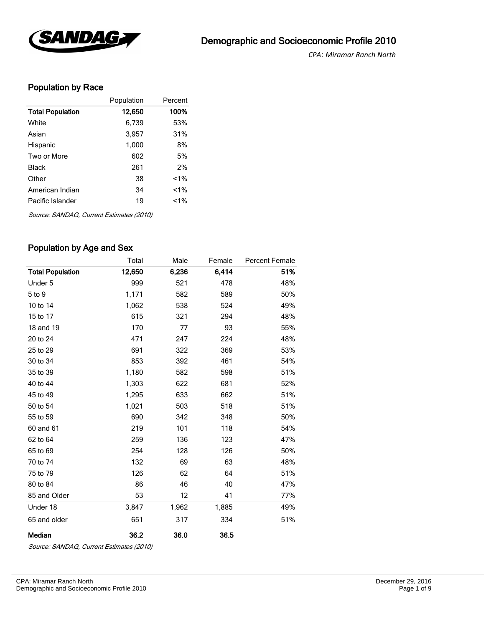

*CPA*: *Miramar Ranch North* 

### Population by Race

|                         | Population | Percent |
|-------------------------|------------|---------|
| <b>Total Population</b> | 12,650     | 100%    |
| White                   | 6,739      | 53%     |
| Asian                   | 3,957      | 31%     |
| Hispanic                | 1,000      | 8%      |
| Two or More             | 602        | 5%      |
| <b>Black</b>            | 261        | 2%      |
| Other                   | 38         | $1\%$   |
| American Indian         | 34         | $1\%$   |
| Pacific Islander        | 19         | $1\%$   |

Source: SANDAG, Current Estimates (2010)

### Population by Age and Sex

|                         | Total  | Male  | Female | <b>Percent Female</b> |
|-------------------------|--------|-------|--------|-----------------------|
| <b>Total Population</b> | 12,650 | 6,236 | 6,414  | 51%                   |
| Under 5                 | 999    | 521   | 478    | 48%                   |
| 5 to 9                  | 1,171  | 582   | 589    | 50%                   |
| 10 to 14                | 1,062  | 538   | 524    | 49%                   |
| 15 to 17                | 615    | 321   | 294    | 48%                   |
| 18 and 19               | 170    | 77    | 93     | 55%                   |
| 20 to 24                | 471    | 247   | 224    | 48%                   |
| 25 to 29                | 691    | 322   | 369    | 53%                   |
| 30 to 34                | 853    | 392   | 461    | 54%                   |
| 35 to 39                | 1,180  | 582   | 598    | 51%                   |
| 40 to 44                | 1,303  | 622   | 681    | 52%                   |
| 45 to 49                | 1,295  | 633   | 662    | 51%                   |
| 50 to 54                | 1,021  | 503   | 518    | 51%                   |
| 55 to 59                | 690    | 342   | 348    | 50%                   |
| 60 and 61               | 219    | 101   | 118    | 54%                   |
| 62 to 64                | 259    | 136   | 123    | 47%                   |
| 65 to 69                | 254    | 128   | 126    | 50%                   |
| 70 to 74                | 132    | 69    | 63     | 48%                   |
| 75 to 79                | 126    | 62    | 64     | 51%                   |
| 80 to 84                | 86     | 46    | 40     | 47%                   |
| 85 and Older            | 53     | 12    | 41     | 77%                   |
| Under 18                | 3,847  | 1,962 | 1,885  | 49%                   |
| 65 and older            | 651    | 317   | 334    | 51%                   |
| Median                  | 36.2   | 36.0  | 36.5   |                       |

Source: SANDAG, Current Estimates (2010)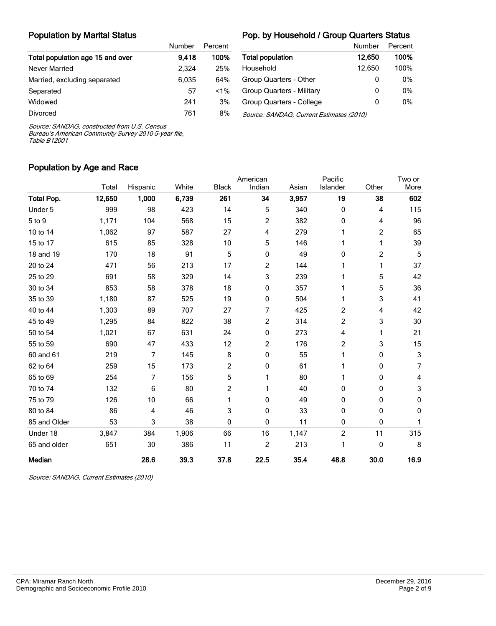#### Population by Marital Status

#### Pop. by Household / Group Quarters Status

|                                  | Number | Percent |                |
|----------------------------------|--------|---------|----------------|
| Total population age 15 and over | 9.418  | 100%    | Total p        |
| Never Married                    | 2.324  | 25%     | Houser         |
| Married, excluding separated     | 6,035  | 64%     | Group (        |
| Separated                        | 57     | $< 1\%$ | Group (        |
| Widowed                          | 241    | 3%      | Group (        |
| <b>Divorced</b>                  | 761    | 8%      | <i>Source:</i> |

|                                          | Number | Percent |
|------------------------------------------|--------|---------|
| <b>Total population</b>                  | 12.650 | 100%    |
| Household                                | 12,650 | 100%    |
| Group Quarters - Other                   | O      | 0%      |
| <b>Group Quarters - Military</b>         | 0      | 0%      |
| Group Quarters - College                 | 0      | 0%      |
| Source: SANDAG, Current Estimates (2010) |        |         |

Source: SANDAG, constructed from U.S. Census

Bureau's American Community Survey 2010 5-year file, Table B12001

### Population by Age and Race

|                   |        |          |       |              | American       |       | Pacific        |       | Two or      |
|-------------------|--------|----------|-------|--------------|----------------|-------|----------------|-------|-------------|
|                   | Total  | Hispanic | White | <b>Black</b> | Indian         | Asian | Islander       | Other | More        |
| <b>Total Pop.</b> | 12,650 | 1,000    | 6,739 | 261          | 34             | 3,957 | 19             | 38    | 602         |
| Under 5           | 999    | 98       | 423   | 14           | 5              | 340   | 0              | 4     | 115         |
| 5 to 9            | 1,171  | 104      | 568   | 15           | 2              | 382   | 0              | 4     | 96          |
| 10 to 14          | 1,062  | 97       | 587   | 27           | 4              | 279   |                | 2     | 65          |
| 15 to 17          | 615    | 85       | 328   | 10           | 5              | 146   |                | 1     | 39          |
| 18 and 19         | 170    | 18       | 91    | 5            | 0              | 49    | 0              | 2     | 5           |
| 20 to 24          | 471    | 56       | 213   | 17           | 2              | 144   |                | 1     | 37          |
| 25 to 29          | 691    | 58       | 329   | 14           | 3              | 239   |                | 5     | 42          |
| 30 to 34          | 853    | 58       | 378   | 18           | 0              | 357   |                | 5     | 36          |
| 35 to 39          | 1,180  | 87       | 525   | 19           | 0              | 504   |                | 3     | 41          |
| 40 to 44          | 1,303  | 89       | 707   | 27           | 7              | 425   | $\overline{c}$ | 4     | 42          |
| 45 to 49          | 1,295  | 84       | 822   | 38           | $\overline{c}$ | 314   | 2              | 3     | 30          |
| 50 to 54          | 1,021  | 67       | 631   | 24           | 0              | 273   | 4              | 1     | 21          |
| 55 to 59          | 690    | 47       | 433   | 12           | 2              | 176   | 2              | 3     | 15          |
| 60 and 61         | 219    | 7        | 145   | 8            | 0              | 55    |                | 0     | 3           |
| 62 to 64          | 259    | 15       | 173   | 2            | 0              | 61    |                | 0     | 7           |
| 65 to 69          | 254    | 7        | 156   | 5            | 1              | 80    |                | 0     | 4           |
| 70 to 74          | 132    | 6        | 80    | 2            | 1              | 40    | 0              | 0     | 3           |
| 75 to 79          | 126    | 10       | 66    | 1            | 0              | 49    | 0              | 0     | 0           |
| 80 to 84          | 86     | 4        | 46    | 3            | 0              | 33    | 0              | 0     | $\mathbf 0$ |
| 85 and Older      | 53     | 3        | 38    | 0            | 0              | 11    | 0              | 0     | 1           |
| Under 18          | 3,847  | 384      | 1,906 | 66           | 16             | 1,147 | $\overline{c}$ | 11    | 315         |
| 65 and older      | 651    | 30       | 386   | 11           | $\overline{c}$ | 213   |                | 0     | 8           |
| Median            |        | 28.6     | 39.3  | 37.8         | 22.5           | 35.4  | 48.8           | 30.0  | 16.9        |

Source: SANDAG, Current Estimates (2010)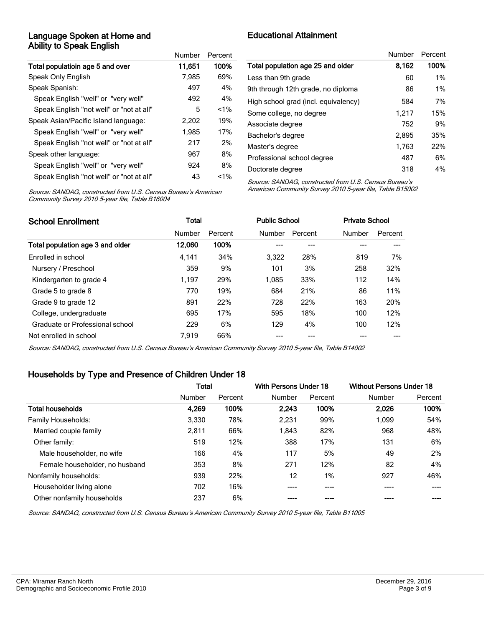#### Language Spoken at Home and Ability to Speak English

|                                          | Number | Percent |
|------------------------------------------|--------|---------|
| Total populatioin age 5 and over         | 11.651 | 100%    |
| Speak Only English                       | 7,985  | 69%     |
| Speak Spanish:                           | 497    | 4%      |
| Speak English "well" or "very well"      | 492    | 4%      |
| Speak English "not well" or "not at all" | 5      | $< 1\%$ |
| Speak Asian/Pacific Island language:     | 2,202  | 19%     |
| Speak English "well" or "very well"      | 1.985  | 17%     |
| Speak English "not well" or "not at all" | 217    | 2%      |
| Speak other language:                    | 967    | 8%      |
| Speak English "well" or "very well"      | 924    | 8%      |
| Speak English "not well" or "not at all" | 43     | $< 1\%$ |

# Educational Attainment

|                                      | Number | Percent |
|--------------------------------------|--------|---------|
| Total population age 25 and older    | 8.162  | 100%    |
| Less than 9th grade                  | 60     | 1%      |
| 9th through 12th grade, no diploma   | 86     | 1%      |
| High school grad (incl. equivalency) | 584    | 7%      |
| Some college, no degree              | 1,217  | 15%     |
| Associate degree                     | 752    | 9%      |
| Bachelor's degree                    | 2,895  | 35%     |
| Master's degree                      | 1,763  | 22%     |
| Professional school degree           | 487    | 6%      |
| Doctorate degree                     | 318    | 4%      |

Source: SANDAG, constructed from U.S. Census Bureau's American Community Survey 2010 5-year file, Table B16004

Source: SANDAG, constructed from U.S. Census Bureau's American Community Survey 2010 5-year file, Table B15002

| <b>School Enrollment</b>         | <b>Total</b> |         | <b>Public School</b> |         |        | <b>Private School</b> |  |
|----------------------------------|--------------|---------|----------------------|---------|--------|-----------------------|--|
|                                  | Number       | Percent | Number               | Percent | Number | Percent               |  |
| Total population age 3 and older | 12,060       | 100%    |                      |         |        |                       |  |
| Enrolled in school               | 4.141        | 34%     | 3.322                | 28%     | 819    | 7%                    |  |
| Nursery / Preschool              | 359          | 9%      | 101                  | 3%      | 258    | 32%                   |  |
| Kindergarten to grade 4          | 1,197        | 29%     | 1.085                | 33%     | 112    | 14%                   |  |
| Grade 5 to grade 8               | 770          | 19%     | 684                  | 21%     | 86     | 11%                   |  |
| Grade 9 to grade 12              | 891          | 22%     | 728                  | 22%     | 163    | 20%                   |  |
| College, undergraduate           | 695          | 17%     | 595                  | 18%     | 100    | 12%                   |  |
| Graduate or Professional school  | 229          | 6%      | 129                  | 4%      | 100    | 12%                   |  |
| Not enrolled in school           | 7.919        | 66%     |                      |         |        |                       |  |

Source: SANDAG, constructed from U.S. Census Bureau's American Community Survey 2010 5-year file, Table B14002

### Households by Type and Presence of Children Under 18

|                                | <b>Total</b> |         | With Persons Under 18 |         | <b>Without Persons Under 18</b> |         |
|--------------------------------|--------------|---------|-----------------------|---------|---------------------------------|---------|
|                                | Number       | Percent | Number                | Percent | Number                          | Percent |
| <b>Total households</b>        | 4,269        | 100%    | 2.243                 | 100%    | 2.026                           | 100%    |
| Family Households:             | 3,330        | 78%     | 2,231                 | 99%     | 1.099                           | 54%     |
| Married couple family          | 2,811        | 66%     | 1,843                 | 82%     | 968                             | 48%     |
| Other family:                  | 519          | 12%     | 388                   | 17%     | 131                             | 6%      |
| Male householder, no wife      | 166          | 4%      | 117                   | 5%      | 49                              | 2%      |
| Female householder, no husband | 353          | 8%      | 271                   | 12%     | 82                              | 4%      |
| Nonfamily households:          | 939          | 22%     | 12                    | $1\%$   | 927                             | 46%     |
| Householder living alone       | 702          | 16%     | ----                  |         | ----                            |         |
| Other nonfamily households     | 237          | 6%      |                       |         |                                 |         |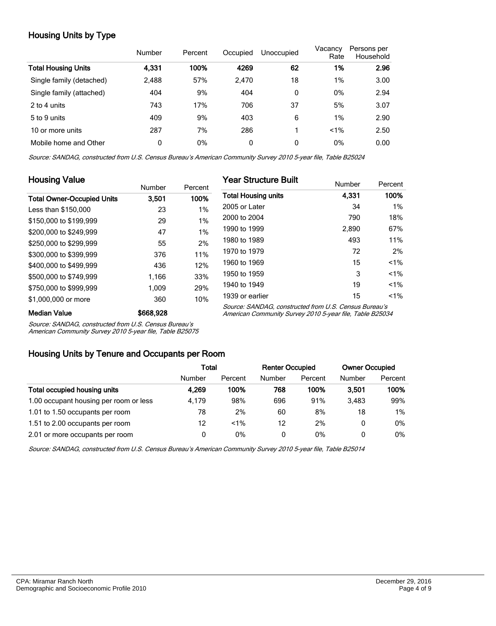# Housing Units by Type

|                            | Number | Percent | Occupied     | Unoccupied | Vacancy<br>Rate | Persons per<br>Household |
|----------------------------|--------|---------|--------------|------------|-----------------|--------------------------|
| <b>Total Housing Units</b> | 4,331  | 100%    | 4269         | 62         | 1%              | 2.96                     |
| Single family (detached)   | 2,488  | 57%     | 2,470        | 18         | 1%              | 3.00                     |
| Single family (attached)   | 404    | 9%      | 404          | 0          | 0%              | 2.94                     |
| 2 to 4 units               | 743    | 17%     | 706          | 37         | 5%              | 3.07                     |
| 5 to 9 units               | 409    | 9%      | 403          | 6          | 1%              | 2.90                     |
| 10 or more units           | 287    | 7%      | 286          |            | $< 1\%$         | 2.50                     |
| Mobile home and Other      | 0      | 0%      | $\mathbf{0}$ | 0          | 0%              | 0.00                     |

Source: SANDAG, constructed from U.S. Census Bureau's American Community Survey 2010 5-year file, Table B25024

| <b>Housing Value</b>              |               |         | <b>Year Structure Built</b>                                                                                       |        |         |  |
|-----------------------------------|---------------|---------|-------------------------------------------------------------------------------------------------------------------|--------|---------|--|
|                                   | <b>Number</b> | Percent |                                                                                                                   | Number | Percent |  |
| <b>Total Owner-Occupied Units</b> | 3.501         | 100%    | <b>Total Housing units</b>                                                                                        | 4,331  | 100%    |  |
| Less than \$150,000               | 23            | 1%      | 2005 or Later                                                                                                     | 34     | $1\%$   |  |
| \$150,000 to \$199,999            | 29            | 1%      | 2000 to 2004                                                                                                      | 790    | 18%     |  |
| \$200,000 to \$249,999            | 47            | 1%      | 1990 to 1999                                                                                                      | 2,890  | 67%     |  |
| \$250,000 to \$299,999            | 55            | 2%      | 1980 to 1989                                                                                                      | 493    | 11%     |  |
| \$300,000 to \$399,999            | 376           | 11%     | 1970 to 1979                                                                                                      | 72     | 2%      |  |
| \$400,000 to \$499,999            | 436           | 12%     | 1960 to 1969                                                                                                      | 15     | $1\%$   |  |
| \$500,000 to \$749.999            | 1.166         | 33%     | 1950 to 1959                                                                                                      | 3      | $1\%$   |  |
| \$750,000 to \$999.999            | 1.009         | 29%     | 1940 to 1949                                                                                                      | 19     | $1\%$   |  |
| \$1,000,000 or more               | 360           | 10%     | 1939 or earlier                                                                                                   | 15     | $< 1\%$ |  |
| <b>Median Value</b>               | \$668,928     |         | Source: SANDAG, constructed from U.S. Census Bureau's<br>American Community Survey 2010 5-year file, Table B25034 |        |         |  |

Source: SANDAG, constructed from U.S. Census Bureau's

American Community Survey 2010 5-year file, Table B25075

#### Housing Units by Tenure and Occupants per Room

|                                        | Total  |         | <b>Renter Occupied</b> |         | <b>Owner Occupied</b> |         |
|----------------------------------------|--------|---------|------------------------|---------|-----------------------|---------|
|                                        | Number | Percent | Number                 | Percent | Number                | Percent |
| Total occupied housing units           | 4.269  | 100%    | 768                    | 100%    | 3.501                 | 100%    |
| 1.00 occupant housing per room or less | 4.179  | 98%     | 696                    | 91%     | 3.483                 | 99%     |
| 1.01 to 1.50 occupants per room        | 78     | 2%      | 60                     | 8%      | 18                    | $1\%$   |
| 1.51 to 2.00 occupants per room        | 12     | $1\%$   | 12                     | 2%      | 0                     | $0\%$   |
| 2.01 or more occupants per room        | 0      | 0%      | 0                      | 0%      | 0                     | $0\%$   |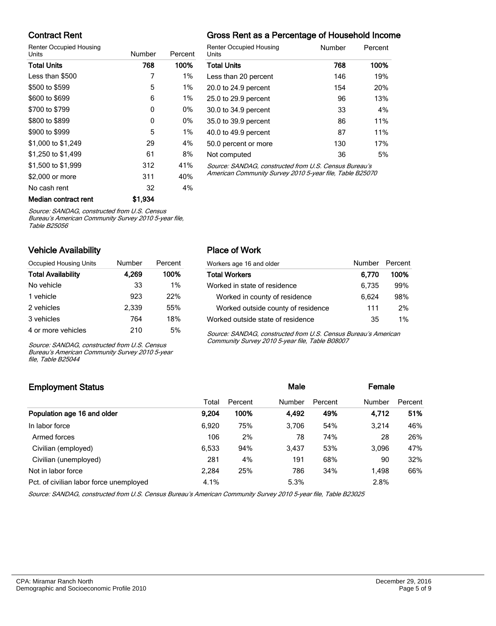### Contract Rent

Renter Occupied Housing

| Units                | Number  | Percent |                          |
|----------------------|---------|---------|--------------------------|
| <b>Total Units</b>   | 768     | 100%    |                          |
| Less than \$500      | 7       | 1%      |                          |
| \$500 to \$599       | 5       | $1\%$   |                          |
| \$600 to \$699       | 6       | $1\%$   | :                        |
| \$700 to \$799       | 0       | 0%      | $\ddot{\cdot}$           |
| \$800 to \$899       | 0       | 0%      | ί                        |
| \$900 to \$999       | 5       | $1\%$   | $\overline{\phantom{a}}$ |
| \$1,000 to \$1,249   | 29      | 4%      | ί                        |
| \$1,250 to \$1,499   | 61      | 8%      | I                        |
| \$1,500 to \$1,999   | 312     | 41%     |                          |
| \$2,000 or more      | 311     | 40%     | ı                        |
| No cash rent         | 32      | 4%      |                          |
| Median contract rent | \$1.934 |         |                          |

# Gross Rent as a Percentage of Household Income

| <b>Renter Occupied Housing</b><br>Units              | Number | Percent |
|------------------------------------------------------|--------|---------|
| <b>Total Units</b>                                   | 768    | 100%    |
| Less than 20 percent                                 | 146    | 19%     |
| 20.0 to 24.9 percent                                 | 154    | 20%     |
| 25.0 to 29.9 percent                                 | 96     | 13%     |
| 30.0 to 34.9 percent                                 | 33     | 4%      |
| 35.0 to 39.9 percent                                 | 86     | 11%     |
| 40.0 to 49.9 percent                                 | 87     | 11%     |
| 50.0 percent or more                                 | 130    | 17%     |
| Not computed                                         | 36     | 5%      |
| Course CANDAC, constructed from U.C. Conque Dureau's |        |         |

Source: SANDAG, constructed from U.S. Census Bureau's American Community Survey 2010 5-year file, Table B25070

Source: SANDAG, constructed from U.S. Census

Bureau's American Community Survey 2010 5-year file, Table B25056

### Vehicle Availability

| Occupied Housing Units    | Number | Percent |
|---------------------------|--------|---------|
| <b>Total Availability</b> | 4.269  | 100%    |
| No vehicle                | 33     | 1%      |
| 1 vehicle                 | 923    | 22%     |
| 2 vehicles                | 2.339  | 55%     |
| 3 vehicles                | 764    | 18%     |
| 4 or more vehicles        | 210    | 5%      |

Source: SANDAG, constructed from U.S. Census Bureau's American Community Survey 2010 5-year file, Table B25044

### Place of Work

| Workers age 16 and older           | Number Percent |      |
|------------------------------------|----------------|------|
| <b>Total Workers</b>               | 6.770          | 100% |
| Worked in state of residence       | 6,735          | 99%  |
| Worked in county of residence      | 6.624          | 98%  |
| Worked outside county of residence | 111            | 2%   |
| Worked outside state of residence  | 35             | 1%   |

Source: SANDAG, constructed from U.S. Census Bureau's American Community Survey 2010 5-year file, Table B08007

# Employment Status **Employment Status Male Employment Status Male Employment Status Male Employment Status** Total Percent Number Percent Number Percent Population age 16 and older 9,204 100% 4,492 49% 4,712 51% In labor force 6,920 75% 3,706 54% 3,214 46% Armed forces 28 26% 106 2% 78 74% 28 26% Civilian (employed) 6,533 94% 3,437 53% 3,096 47% Civilian (unemployed) 281 4% 191 68% 90 32% Not in labor force **2,284** 25% 786 34% 1,498 66% Pct. of civilian labor force unemployed  $4.1\%$   $5.3\%$   $5.3\%$   $2.8\%$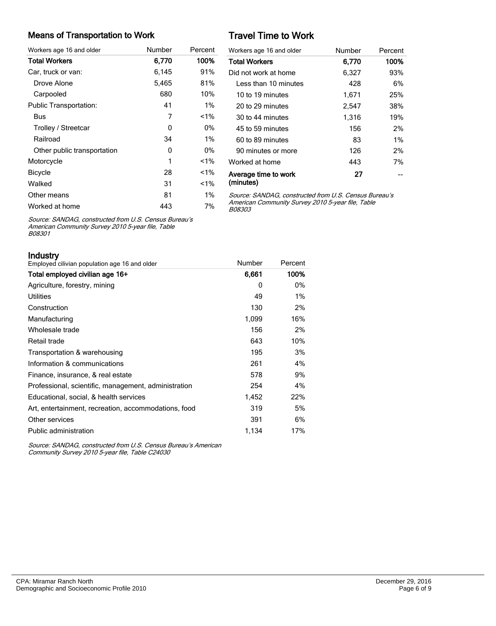#### Means of Transportation to Work

| Workers age 16 and older      | Number | Percent |
|-------------------------------|--------|---------|
| <b>Total Workers</b>          | 6,770  | 100%    |
| Car, truck or van:            | 6,145  | 91%     |
| Drove Alone                   | 5,465  | 81%     |
| Carpooled                     | 680    | 10%     |
| <b>Public Transportation:</b> | 41     | $1\%$   |
| Bus                           | 7      | $1\%$   |
| Trolley / Streetcar           | 0      | 0%      |
| Railroad                      | 34     | $1\%$   |
| Other public transportation   | 0      | 0%      |
| Motorcycle                    | 1      | $1\%$   |
| <b>Bicycle</b>                | 28     | $1\%$   |
| Walked                        | 31     | $1\%$   |
| Other means                   | 81     | $1\%$   |
| Worked at home                | 443    | 7%      |

# Travel Time to Work

| Workers age 16 and older          | Number | Percent |
|-----------------------------------|--------|---------|
| <b>Total Workers</b>              | 6.770  | 100%    |
| Did not work at home              | 6,327  | 93%     |
| Less than 10 minutes              | 428    | 6%      |
| 10 to 19 minutes                  | 1,671  | 25%     |
| 20 to 29 minutes                  | 2.547  | 38%     |
| 30 to 44 minutes                  | 1,316  | 19%     |
| 45 to 59 minutes                  | 156    | 2%      |
| 60 to 89 minutes                  | 83     | $1\%$   |
| 90 minutes or more                | 126    | 2%      |
| Worked at home                    | 443    | 7%      |
| Average time to work<br>(minutes) | 27     |         |

Source: SANDAG, constructed from U.S. Census Bureau's American Community Survey 2010 5-year file, Table B08303

Source: SANDAG, constructed from U.S. Census Bureau's American Community Survey 2010 5-year file, Table B08301

Industry

| II IUUSU V<br>Employed cilivian population age 16 and older | Number | Percent |
|-------------------------------------------------------------|--------|---------|
| Total employed civilian age 16+                             | 6,661  | 100%    |
| Agriculture, forestry, mining                               | 0      | $0\%$   |
| <b>Utilities</b>                                            | 49     | 1%      |
| Construction                                                | 130    | 2%      |
| Manufacturing                                               | 1,099  | 16%     |
| Wholesale trade                                             | 156    | 2%      |
| Retail trade                                                | 643    | 10%     |
| Transportation & warehousing                                | 195    | 3%      |
| Information & communications                                | 261    | 4%      |
| Finance, insurance, & real estate                           | 578    | 9%      |
| Professional, scientific, management, administration        | 254    | 4%      |
| Educational, social, & health services                      | 1,452  | 22%     |
| Art, entertainment, recreation, accommodations, food        | 319    | 5%      |
| Other services                                              | 391    | 6%      |
| Public administration                                       | 1,134  | 17%     |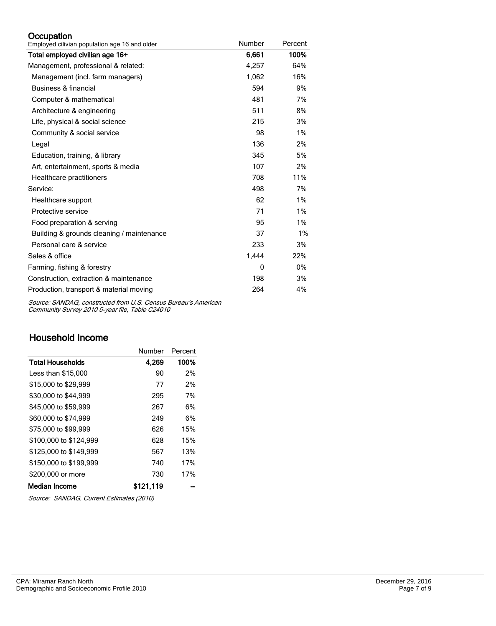#### **Occupation**

| Employed cilivian population age 16 and older | Number | Percent |
|-----------------------------------------------|--------|---------|
| Total employed civilian age 16+               | 6,661  | 100%    |
| Management, professional & related:           | 4,257  | 64%     |
| Management (incl. farm managers)              | 1,062  | 16%     |
| <b>Business &amp; financial</b>               | 594    | 9%      |
| Computer & mathematical                       | 481    | 7%      |
| Architecture & engineering                    | 511    | 8%      |
| Life, physical & social science               | 215    | 3%      |
| Community & social service                    | 98     | 1%      |
| Legal                                         | 136    | 2%      |
| Education, training, & library                | 345    | 5%      |
| Art, entertainment, sports & media            | 107    | 2%      |
| Healthcare practitioners                      | 708    | 11%     |
| Service:                                      | 498    | 7%      |
| Healthcare support                            | 62     | 1%      |
| Protective service                            | 71     | 1%      |
| Food preparation & serving                    | 95     | 1%      |
| Building & grounds cleaning / maintenance     | 37     | 1%      |
| Personal care & service                       | 233    | 3%      |
| Sales & office                                | 1,444  | 22%     |
| Farming, fishing & forestry                   | 0      | 0%      |
| Construction, extraction & maintenance        | 198    | 3%      |
| Production, transport & material moving       | 264    | 4%      |

Source: SANDAG, constructed from U.S. Census Bureau's American Community Survey 2010 5-year file, Table C24010

# Household Income

|                        | Number    | Percent |
|------------------------|-----------|---------|
| Total Households       | 4,269     | 100%    |
| Less than \$15,000     | 90        | 2%      |
| \$15,000 to \$29.999   | 77        | 2%      |
| \$30,000 to \$44,999   | 295       | 7%      |
| \$45,000 to \$59,999   | 267       | 6%      |
| \$60,000 to \$74,999   | 249       | 6%      |
| \$75,000 to \$99,999   | 626       | 15%     |
| \$100,000 to \$124.999 | 628       | 15%     |
| \$125,000 to \$149.999 | 567       | 13%     |
| \$150,000 to \$199,999 | 740       | 17%     |
| \$200,000 or more      | 730       | 17%     |
| Median Income          | \$121.119 |         |

Source: SANDAG, Current Estimates (2010)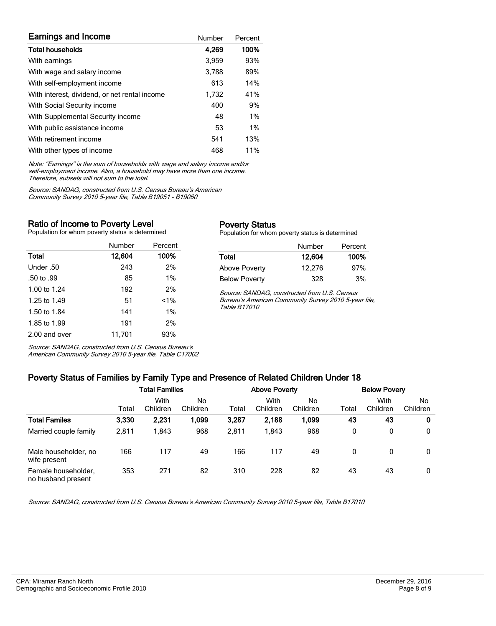| <b>Earnings and Income</b>                    | Number | Percent |
|-----------------------------------------------|--------|---------|
| <b>Total households</b>                       | 4,269  | 100%    |
| With earnings                                 | 3.959  | 93%     |
| With wage and salary income                   | 3,788  | 89%     |
| With self-employment income                   | 613    | 14%     |
| With interest, dividend, or net rental income | 1.732  | 41%     |
| With Social Security income                   | 400    | 9%      |
| With Supplemental Security income             | 48     | 1%      |
| With public assistance income                 | 53     | 1%      |
| With retirement income                        | 541    | 13%     |
| With other types of income                    | 468    | 11%     |

Note: "Earnings" is the sum of households with wage and salary income and/or self-employment income. Also, a household may have more than one income. Therefore, subsets will not sum to the total.

Source: SANDAG, constructed from U.S. Census Bureau's American Community Survey 2010 5-year file, Table B19051 - B19060

#### Ratio of Income to Poverty Level

Population for whom poverty status is determined

|               | Number | Percent |
|---------------|--------|---------|
| Total         | 12,604 | 100%    |
| Under .50     | 243    | 2%      |
| .50 to .99    | 85     | $1\%$   |
| 1.00 to 1.24  | 192    | 2%      |
| 1.25 to 1.49  | 51     | $1\%$   |
| 1.50 to 1.84  | 141    | 1%      |
| 1.85 to 1.99  | 191    | 2%      |
| 2.00 and over | 11,701 | 93%     |

Source: SANDAG, constructed from U.S. Census Bureau's American Community Survey 2010 5-year file, Table C17002

#### Poverty Status

Population for whom poverty status is determined

|                      | Number | Percent |
|----------------------|--------|---------|
| Total                | 12.604 | 100%    |
| <b>Above Poverty</b> | 12.276 | 97%     |
| <b>Below Poverty</b> | 328    | 3%      |

Source: SANDAG, constructed from U.S. Census Bureau's American Community Survey 2010 5-year file, Table B17010

# Poverty Status of Families by Family Type and Presence of Related Children Under 18

|                                           | Total Families |                  |                | <b>Above Poverty</b> |                  |                | <b>Below Povery</b> |                  |                 |
|-------------------------------------------|----------------|------------------|----------------|----------------------|------------------|----------------|---------------------|------------------|-----------------|
|                                           | Total          | With<br>Children | No<br>Children | Total                | With<br>Children | No<br>Children | Total               | With<br>Children | No.<br>Children |
| <b>Total Familes</b>                      | 3,330          | 2,231            | 1,099          | 3,287                | 2,188            | 1,099          | 43                  | 43               | 0               |
| Married couple family                     | 2,811          | 1.843            | 968            | 2,811                | 1,843            | 968            | 0                   | 0                | 0               |
| Male householder, no<br>wife present      | 166            | 117              | 49             | 166                  | 117              | 49             | 0                   | 0                | 0               |
| Female householder,<br>no husband present | 353            | 271              | 82             | 310                  | 228              | 82             | 43                  | 43               | 0               |